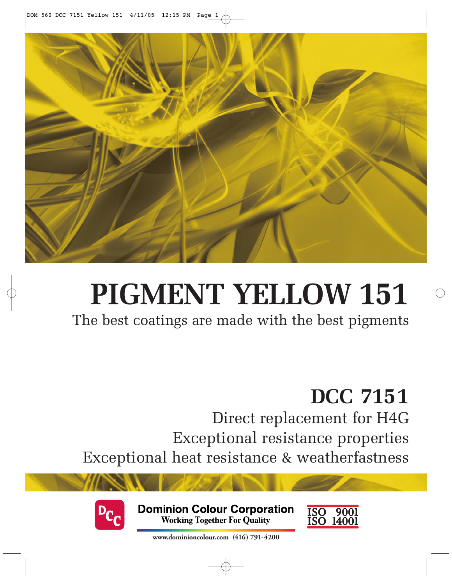

# **PIGMENT YELLOW 151**

The best coatings are made with the best pigments

## **DCC 7151**

Direct replacement for H4G Exceptional resistance properties Exceptional heat resistance & weatherfastness



**Dominion Colour Corporation Working Together For Quality** 



**www.dominioncolour.com (416) 791-4200**